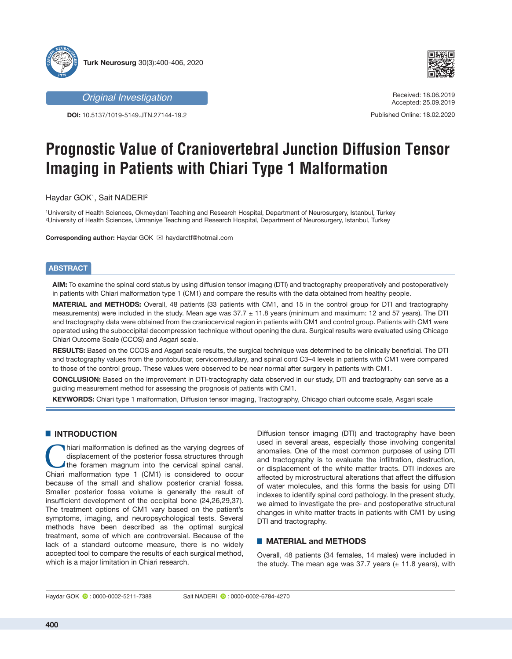

*Original Investigation*

**DOI:** 10.5137/1019-5149.JTN.27144-19.2



Received: 18.06.2019 Accepted: 25.09.2019

Published Online: 18.02.2020

# **Prognostic Value of Craniovertebral Junction Diffusion Tensor Imaging in Patients with Chiari Type 1 Malformation**

Haydar GOK1 , Sait NADERI2

1 University of Health Sciences, Okmeydani Teaching and Research Hospital, Department of Neurosurgery, Istanbul, Turkey 2 University of Health Sciences, Umraniye Teaching and Research Hospital, Department of Neurosurgery, Istanbul, Turkey

**Corresponding author: Haydar GOK <br>
<sub>■</sub>** haydarctf@hotmail.com

# **ABSTRACT**

**AIM:** To examine the spinal cord status by using diffusion tensor imagıng (DTI) and tractography preoperatively and postoperatively in patients with Chiari malformation type 1 (CM1) and compare the results with the data obtained from healthy people.

**MATERIAL and METHODS:** Overall, 48 patients (33 patients with CM1, and 15 in the control group for DTI and tractography measurements) were included in the study. Mean age was  $37.7 \pm 11.8$  years (minimum and maximum: 12 and 57 years). The DTI and tractography data were obtained from the craniocervical region in patients with CM1 and control group. Patients with CM1 were operated using the suboccipital decompression technique without opening the dura. Surgical results were evaluated using Chicago Chiari Outcome Scale (CCOS) and Asgari scale.

**RESULTS:** Based on the CCOS and Asgari scale results, the surgical technique was determined to be clinically beneficial. The DTI and tractography values from the pontobulbar, cervicomedullary, and spinal cord C3–4 levels in patients with CM1 were compared to those of the control group. These values were observed to be near normal after surgery in patients with CM1.

**CONCLUSION:** Based on the improvement in DTI-tractography data observed in our study, DTI and tractography can serve as a guiding measurement method for assessing the prognosis of patients with CM1.

**KEYWORDS:** Chiari type 1 malformation, Diffusion tensor imaging, Tractography, Chicago chiari outcome scale, Asgari scale

# **E INTRODUCTION**

hiari malformation is defined as the varying degrees of displacement of the posterior fossa structures through the foramen magnum into the cervical spinal canal. displacement of the posterior fossa structures through Chiari malformation type 1 (CM1) is considered to occur because of the small and shallow posterior cranial fossa. Smaller posterior fossa volume is generally the result of insufficient development of the occipital bone (24,26,29,37). The treatment options of CM1 vary based on the patient's symptoms, imaging, and neuropsychological tests. Several methods have been described as the optimal surgical treatment, some of which are controversial. Because of the lack of a standard outcome measure, there is no widely accepted tool to compare the results of each surgical method, which is a major limitation in Chiari research.

Diffusion tensor imagıng (DTI) and tractography have been used in several areas, especially those involving congenital anomalies. One of the most common purposes of using DTI and tractography is to evaluate the infiltration, destruction, or displacement of the white matter tracts. DTI indexes are affected by microstructural alterations that affect the diffusion of water molecules, and this forms the basis for using DTI indexes to identify spinal cord pathology. In the present study, we aimed to investigate the pre- and postoperative structural changes in white matter tracts in patients with CM1 by using DTI and tractography.

# █ **MATERIAL and METHODS**

Overall, 48 patients (34 females, 14 males) were included in the study. The mean age was 37.7 years  $(\pm 11.8 \text{ years})$ , with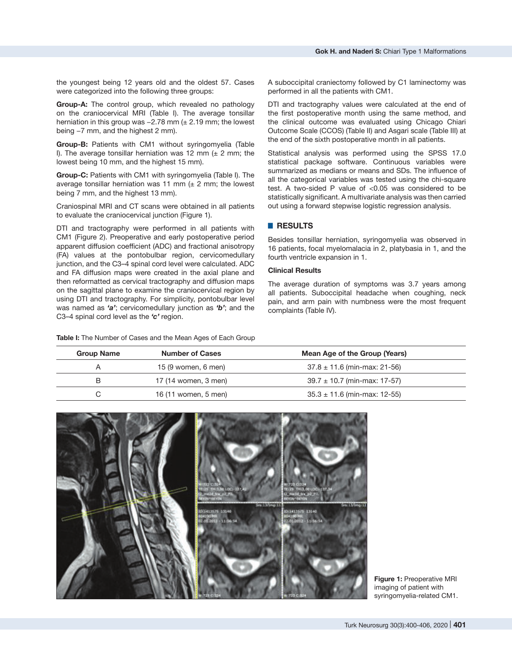the youngest being 12 years old and the oldest 57. Cases were categorized into the following three groups:

**Group-A:** The control group, which revealed no pathology on the craniocervical MRI (Table I). The average tonsillar herniation in this group was -2.78 mm (± 2.19 mm; the lowest being −7 mm, and the highest 2 mm).

**Group-B:** Patients with CM1 without syringomyelia (Table I). The average tonsillar herniation was 12 mm  $(± 2$  mm; the lowest being 10 mm, and the highest 15 mm).

**Group-C:** Patients with CM1 with syringomyelia (Table I). The average tonsillar herniation was 11 mm  $(\pm 2$  mm; the lowest being 7 mm, and the highest 13 mm).

Craniospinal MRI and CT scans were obtained in all patients to evaluate the craniocervical junction (Figure 1).

DTI and tractography were performed in all patients with CM1 (Figure 2). Preoperative and early postoperative period apparent diffusion coefficient (ADC) and fractional anisotropy (FA) values at the pontobulbar region, cervicomedullary junction, and the C3–4 spinal cord level were calculated. ADC and FA diffusion maps were created in the axial plane and then reformatted as cervical tractography and diffusion maps on the sagittal plane to examine the craniocervical region by using DTI and tractography. For simplicity, pontobulbar level was named as *'a'*; cervicomedullary junction as *'b'*; and the C3–4 spinal cord level as the *'c'* region.

**Table I:** The Number of Cases and the Mean Ages of Each Group

A suboccipital craniectomy followed by C1 laminectomy was performed in all the patients with CM1.

DTI and tractography values were calculated at the end of the first postoperative month using the same method, and the clinical outcome was evaluated using Chicago Chiari Outcome Scale (CCOS) (Table II) and Asgari scale (Table III) at the end of the sixth postoperative month in all patients.

Statistical analysis was performed using the SPSS 17.0 statistical package software. Continuous variables were summarized as medians or means and SDs. The influence of all the categorical variables was tested using the chi-square test. A two-sided P value of <0.05 was considered to be statistically significant. A multivariate analysis was then carried out using a forward stepwise logistic regression analysis.

# █ **RESULTS**

Besides tonsillar herniation, syringomyelia was observed in 16 patients, focal myelomalacia in 2, platybasia in 1, and the fourth ventricle expansion in 1.

#### **Clinical Results**

The average duration of symptoms was 3.7 years among all patients. Suboccipital headache when coughing, neck pain, and arm pain with numbness were the most frequent complaints (Table IV).

| <b>Group Name</b> | <b>Number of Cases</b> | Mean Age of the Group (Years)    |
|-------------------|------------------------|----------------------------------|
|                   | 15 (9 women, 6 men)    | $37.8 \pm 11.6$ (min-max: 21-56) |

B 17 (14 women, 3 men) 39.7 ± 10.7 (min-max: 17-57) C 16 (11 women, 5 men) 35.3  $\pm$  11.6 (min-max: 12-55)

| WITAY KISSA<br>TELES THIS AND LOCAL 227,400<br>12. mail bis 3.70.<br>Ngjarje | Wizza Ciase<br>TELZS - THIA, OE LINGHISTA, SK<br>12 model from 2 PR.<br>DEVIN DEVIN |
|------------------------------------------------------------------------------|-------------------------------------------------------------------------------------|
| Smith/Impith<br>10(14116)15 13140<br>804100 MH<br>02.05.2013 - 11:14:54      | SHLL3/8mg/12<br>0011413575 13140<br>004103141<br>01013012 1105654                   |
| W:728 C:32                                                                   | W:723 C-124                                                                         |

**Figure 1:** Preoperative MRI imaging of patient with syringomyelia-related CM1.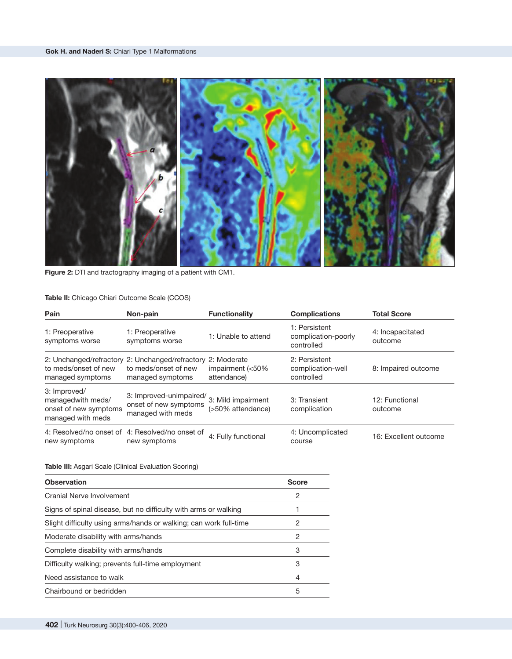

**Figure 2:** DTI and tractography imaging of a patient with CM1.

# **Table II:** Chicago Chiari Outcome Scale (CCOS)

| Pain                                                                            | Non-pain                                                              | <b>Functionality</b>                              | <b>Complications</b>                               | <b>Total Score</b>          |
|---------------------------------------------------------------------------------|-----------------------------------------------------------------------|---------------------------------------------------|----------------------------------------------------|-----------------------------|
| 1: Preoperative<br>symptoms worse                                               | 1: Preoperative<br>symptoms worse                                     | 1: Unable to attend                               | 1: Persistent<br>complication-poorly<br>controlled | 4: Incapacitated<br>outcome |
| 2: Unchanged/refractory<br>to meds/onset of new<br>managed symptoms             | 2: Unchanged/refractory<br>to meds/onset of new<br>managed symptoms   | 2: Moderate<br>impairment $(<50\%$<br>attendance) | 2: Persistent<br>complication-well<br>controlled   | 8: Impaired outcome         |
| 3: Improved/<br>managedwith meds/<br>onset of new symptoms<br>managed with meds | 3: Improved-unimpaired/<br>onset of new symptoms<br>managed with meds | 3: Mild impairment<br>(>50% attendance)           | 3: Transient<br>complication                       | 12: Functional<br>outcome   |
| 4: Resolved/no onset of<br>new symptoms                                         | 4: Resolved/no onset of<br>new symptoms                               | 4: Fully functional                               | 4: Uncomplicated<br>course                         | 16: Excellent outcome       |

# **Table III:** Asgari Scale (Clinical Evaluation Scoring)

| <b>Observation</b>                                                | <b>Score</b> |
|-------------------------------------------------------------------|--------------|
| Cranial Nerve Involvement                                         | 2            |
| Signs of spinal disease, but no difficulty with arms or walking   |              |
| Slight difficulty using arms/hands or walking; can work full-time | 2            |
| Moderate disability with arms/hands                               | 2            |
| Complete disability with arms/hands                               | 3            |
| Difficulty walking; prevents full-time employment                 | 3            |
| Need assistance to walk                                           | 4            |
| Chairbound or bedridden                                           | 5            |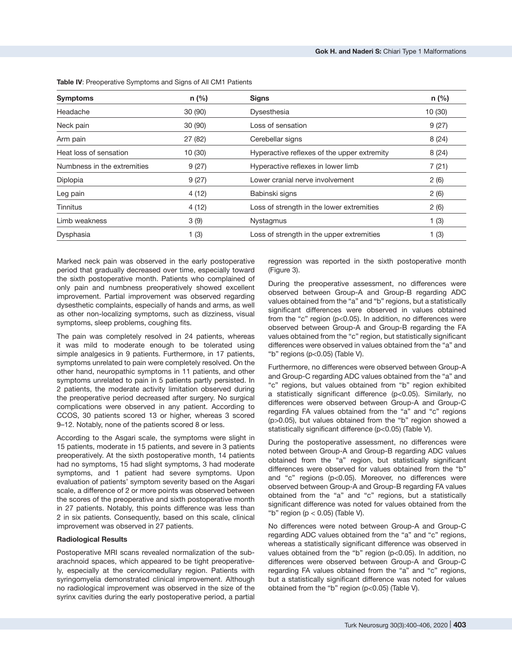| <b>Symptoms</b>             | $n$ (%) | <b>Signs</b>                                | $n$ (%) |
|-----------------------------|---------|---------------------------------------------|---------|
| Headache                    | 30(90)  | Dysesthesia                                 | 10 (30) |
| Neck pain                   | 30 (90) | Loss of sensation                           | 9(27)   |
| Arm pain                    | 27(82)  | Cerebellar signs                            | 8(24)   |
| Heat loss of sensation      | 10(30)  | Hyperactive reflexes of the upper extremity | 8(24)   |
| Numbness in the extremities | 9(27)   | Hyperactive reflexes in lower limb          | 7(21)   |
| Diplopia                    | 9(27)   | Lower cranial nerve involvement             | 2(6)    |
| Leg pain                    | 4(12)   | Babinski signs                              | 2(6)    |
| <b>Tinnitus</b>             | 4(12)   | Loss of strength in the lower extremities   | 2(6)    |
| Limb weakness               | 3(9)    | <b>Nystagmus</b>                            | 1(3)    |
| Dysphasia                   | 1(3)    | Loss of strength in the upper extremities   | 1(3)    |

**Table IV**: Preoperative Symptoms and Signs of All CM1 Patients

Marked neck pain was observed in the early postoperative period that gradually decreased over time, especially toward the sixth postoperative month. Patients who complained of only pain and numbness preoperatively showed excellent improvement. Partial improvement was observed regarding dysesthetic complaints, especially of hands and arms, as well as other non-localizing symptoms, such as dizziness, visual symptoms, sleep problems, coughing fits.

The pain was completely resolved in 24 patients, whereas it was mild to moderate enough to be tolerated using simple analgesics in 9 patients. Furthermore, in 17 patients, symptoms unrelated to pain were completely resolved. On the other hand, neuropathic symptoms in 11 patients, and other symptoms unrelated to pain in 5 patients partly persisted. In 2 patients, the moderate activity limitation observed during the preoperative period decreased after surgery. No surgical complications were observed in any patient. According to CCOS, 30 patients scored 13 or higher, whereas 3 scored 9–12. Notably, none of the patients scored 8 or less.

According to the Asgari scale, the symptoms were slight in 15 patients, moderate in 15 patients, and severe in 3 patients preoperatively. At the sixth postoperative month, 14 patients had no symptoms, 15 had slight symptoms, 3 had moderate symptoms, and 1 patient had severe symptoms. Upon evaluation of patients' symptom severity based on the Asgari scale, a difference of 2 or more points was observed between the scores of the preoperative and sixth postoperative month in 27 patients. Notably, this points difference was less than 2 in six patients. Consequently, based on this scale, clinical improvement was observed in 27 patients.

### **Radiological Results**

Postoperative MRI scans revealed normalization of the subarachnoid spaces, which appeared to be tight preoperatively, especially at the cervicomedullary region. Patients with syringomyelia demonstrated clinical improvement. Although no radiological improvement was observed in the size of the syrinx cavities during the early postoperative period, a partial

regression was reported in the sixth postoperative month (Figure 3).

During the preoperative assessment, no differences were observed between Group-A and Group-B regarding ADC values obtained from the "a" and "b" regions, but a statistically significant differences were observed in values obtained from the "c" region (p<0.05). In addition, no differences were observed between Group-A and Group-B regarding the FA values obtained from the "c" region, but statistically significant differences were observed in values obtained from the "a" and "b" regions (p<0.05) (Table V).

Furthermore, no differences were observed between Group-A and Group-C regarding ADC values obtained from the "a" and "c" regions, but values obtained from "b" region exhibited a statistically significant difference (p<0.05). Similarly, no differences were observed between Group-A and Group-C regarding FA values obtained from the "a" and "c" regions (p>0.05), but values obtained from the "b" region showed a statistically significant difference (p<0.05) (Table V).

During the postoperative assessment, no differences were noted between Group-A and Group-B regarding ADC values obtained from the "a" region, but statistically significant differences were observed for values obtained from the "b" and "c" regions (p<0.05). Moreover, no differences were observed between Group-A and Group-B regarding FA values obtained from the "a" and "c" regions, but a statistically significant difference was noted for values obtained from the "b" region ( $p < 0.05$ ) (Table V).

No differences were noted between Group-A and Group-C regarding ADC values obtained from the "a" and "c" regions, whereas a statistically significant difference was observed in values obtained from the "b" region (p<0.05). In addition, no differences were observed between Group-A and Group-C regarding FA values obtained from the "a" and "c" regions, but a statistically significant difference was noted for values obtained from the "b" region (p<0.05) (Table V).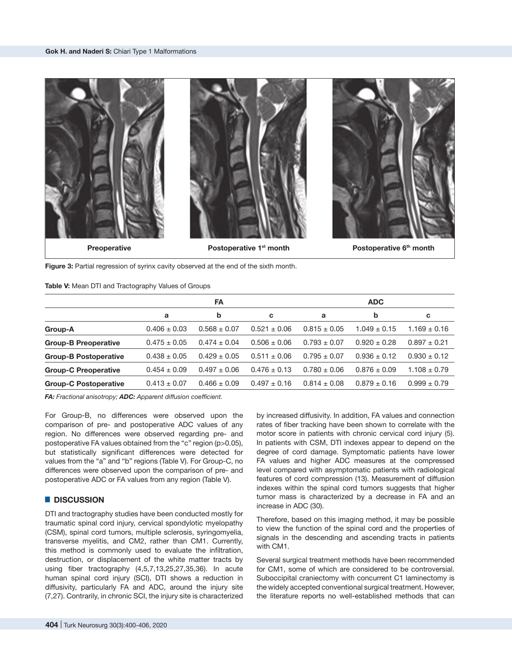

**Figure 3:** Partial regression of syrinx cavity observed at the end of the sixth month.

#### **Table V:** Mean DTI and Tractography Values of Groups

|                              | <b>FA</b>        |                  |                  | <b>ADC</b>       |                  |                  |
|------------------------------|------------------|------------------|------------------|------------------|------------------|------------------|
|                              | a                | b                | c                | a                | b                | C                |
| Group-A                      | $0.406 \pm 0.03$ | $0.568 \pm 0.07$ | $0.521 \pm 0.06$ | $0.815 \pm 0.05$ | $1.049 \pm 0.15$ | $1.169 \pm 0.16$ |
| <b>Group-B Preoperative</b>  | $0.475 \pm 0.05$ | $0.474 \pm 0.04$ | $0.506 \pm 0.06$ | $0.793 \pm 0.07$ | $0.920 \pm 0.28$ | $0.897 \pm 0.21$ |
| <b>Group-B Postoperative</b> | $0.438 \pm 0.05$ | $0.429 \pm 0.05$ | $0.511 \pm 0.06$ | $0.795 \pm 0.07$ | $0.936 \pm 0.12$ | $0.930 \pm 0.12$ |
| <b>Group-C Preoperative</b>  | $0.454 \pm 0.09$ | $0.497 \pm 0.06$ | $0.476 \pm 0.13$ | $0.780 \pm 0.06$ | $0.876 \pm 0.09$ | $1.108 \pm 0.79$ |
| <b>Group-C Postoperative</b> | $0.413 \pm 0.07$ | $0.466 \pm 0.09$ | $0.497 \pm 0.16$ | $0.814 \pm 0.08$ | $0.879 \pm 0.16$ | $0.999 \pm 0.79$ |

*FA: Fractional anisotropy; ADC: Apparent diffusion coefficient.*

For Group-B, no differences were observed upon the comparison of pre- and postoperative ADC values of any region. No differences were observed regarding pre- and postoperative FA values obtained from the "c" region (p>0.05), but statistically significant differences were detected for values from the "a" and "b" regions (Table V). For Group-C, no differences were observed upon the comparison of pre- and postoperative ADC or FA values from any region (Table V).

# █ **DISCUSSION**

DTI and tractography studies have been conducted mostly for traumatic spinal cord injury, cervical spondylotic myelopathy (CSM), spinal cord tumors, multiple sclerosis, syringomyelia, transverse myelitis, and CM2, rather than CM1. Currently, this method is commonly used to evaluate the infiltration, destruction, or displacement of the white matter tracts by using fiber tractography (4,5,7,13,25,27,35,36). In acute human spinal cord injury (SCI), DTI shows a reduction in diffusivity, particularly FA and ADC, around the injury site (7,27). Contrarily, in chronic SCI, the injury site is characterized

by increased diffusivity. In addition, FA values and connection rates of fiber tracking have been shown to correlate with the motor score in patients with chronic cervical cord injury (5). In patients with CSM, DTI indexes appear to depend on the degree of cord damage. Symptomatic patients have lower FA values and higher ADC measures at the compressed level compared with asymptomatic patients with radiological features of cord compression (13). Measurement of diffusion indexes within the spinal cord tumors suggests that higher tumor mass is characterized by a decrease in FA and an increase in ADC (30).

Therefore, based on this imaging method, it may be possible to view the function of the spinal cord and the properties of signals in the descending and ascending tracts in patients with CM1.

Several surgical treatment methods have been recommended for CM1, some of which are considered to be controversial. Suboccipital craniectomy with concurrent C1 laminectomy is the widely accepted conventional surgical treatment. However, the literature reports no well-established methods that can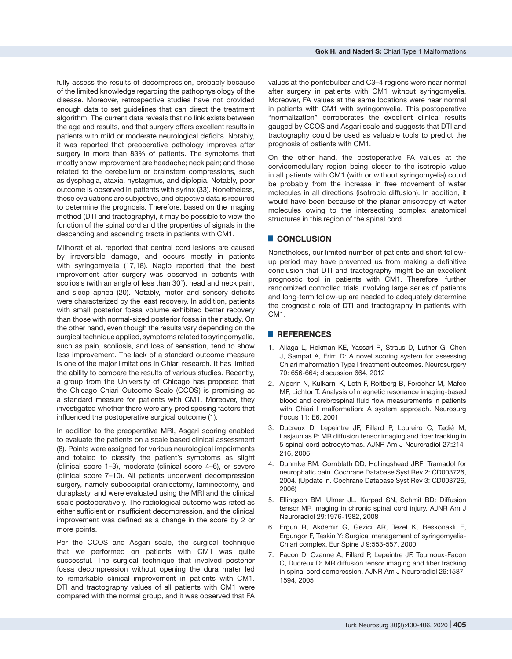fully assess the results of decompression, probably because of the limited knowledge regarding the pathophysiology of the disease. Moreover, retrospective studies have not provided enough data to set guidelines that can direct the treatment algorithm. The current data reveals that no link exists between the age and results, and that surgery offers excellent results in patients with mild or moderate neurological deficits. Notably, it was reported that preoperative pathology improves after surgery in more than 83% of patients. The symptoms that mostly show improvement are headache; neck pain; and those related to the cerebellum or brainstem compressions, such as dysphagia, ataxia, nystagmus, and diplopia. Notably, poor outcome is observed in patients with syrinx (33). Nonetheless, these evaluations are subjective, and objective data is required to determine the prognosis. Therefore, based on the imaging method (DTI and tractography), it may be possible to view the function of the spinal cord and the properties of signals in the descending and ascending tracts in patients with CM1.

Milhorat et al. reported that central cord lesions are caused by irreversible damage, and occurs mostly in patients with syringomyelia (17,18). Nagib reported that the best improvement after surgery was observed in patients with scoliosis (with an angle of less than 30°), head and neck pain, and sleep apnea (20). Notably, motor and sensory deficits were characterized by the least recovery. In addition, patients with small posterior fossa volume exhibited better recovery than those with normal-sized posterior fossa in their study. On the other hand, even though the results vary depending on the surgical technique applied, symptoms related to syringomyelia, such as pain, scoliosis, and loss of sensation, tend to show less improvement. The lack of a standard outcome measure is one of the major limitations in Chiari research. It has limited the ability to compare the results of various studies. Recently, a group from the University of Chicago has proposed that the Chicago Chiari Outcome Scale (CCOS) is promising as a standard measure for patients with CM1. Moreover, they investigated whether there were any predisposing factors that influenced the postoperative surgical outcome (1).

In addition to the preoperative MRI, Asgari scoring enabled to evaluate the patients on a scale based clinical assessment (8). Points were assigned for various neurological impairments and totaled to classify the patient's symptoms as slight (clinical score 1–3), moderate (clinical score 4–6), or severe (clinical score 7–10). All patients underwent decompression surgery, namely suboccipital craniectomy, laminectomy, and duraplasty, and were evaluated using the MRI and the clinical scale postoperatively. The radiological outcome was rated as either sufficient or insufficient decompression, and the clinical improvement was defined as a change in the score by 2 or more points.

Per the CCOS and Asgari scale, the surgical technique that we performed on patients with CM1 was quite successful. The surgical technique that involved posterior fossa decompression without opening the dura mater led to remarkable clinical improvement in patients with CM1. DTI and tractography values of all patients with CM1 were compared with the normal group, and it was observed that FA

values at the pontobulbar and C3–4 regions were near normal after surgery in patients with CM1 without syringomyelia. Moreover, FA values at the same locations were near normal in patients with CM1 with syringomyelia. This postoperative "normalization" corroborates the excellent clinical results gauged by CCOS and Asgari scale and suggests that DTI and tractography could be used as valuable tools to predict the prognosis of patients with CM1.

On the other hand, the postoperative FA values at the cervicomedullary region being closer to the isotropic value in all patients with CM1 (with or without syringomyelia) could be probably from the increase in free movement of water molecules in all directions (isotropic diffusion). In addition, it would have been because of the planar anisotropy of water molecules owing to the intersecting complex anatomical structures in this region of the spinal cord.

# █ **CONCLUSION**

Nonetheless, our limited number of patients and short followup period may have prevented us from making a definitive conclusion that DTI and tractography might be an excellent prognostic tool in patients with CM1. Therefore, further randomized controlled trials involving large series of patients and long-term follow-up are needed to adequately determine the prognostic role of DTI and tractography in patients with CM1.

#### █ **REFERENCES**

- 1. Aliaga L, Hekman KE, Yassari R, Straus D, Luther G, Chen J, Sampat A, Frim D: A novel scoring system for assessing Chiari malformation Type I treatment outcomes. Neurosurgery 70: 656-664; discussion 664, 2012
- 2. Alperin N, Kulkarni K, Loth F, Roitberg B, Foroohar M, Mafee MF, Lichtor T: Analysis of magnetic resonance imaging-based blood and cerebrospinal fluid flow measurements in patients with Chiari I malformation: A system approach. Neurosurg Focus 11: E6, 2001
- 3. Ducreux D, Lepeintre JF, Fillard P, Loureiro C, Tadié M, Lasjaunias P: MR diffusion tensor imaging and fiber tracking in 5 spinal cord astrocytomas. AJNR Am J Neuroradiol 27:214- 216, 2006
- 4. Duhmke RM, Cornblath DD, Hollingshead JRF: Tramadol for neurophatic pain. Cochrane Database Syst Rev 2: CD003726, 2004. (Update in. Cochrane Database Syst Rev 3: CD003726, 2006)
- 5. Ellingson BM, Ulmer JL, Kurpad SN, Schmit BD: Diffusion tensor MR imaging in chronic spinal cord injury. AJNR Am J Neuroradiol 29:1976-1982, 2008
- 6. Ergun R, Akdemir G, Gezici AR, Tezel K, Beskonakli E, Ergungor F, Taskin Y: Surgical management of syringomyelia-Chiari complex. Eur Spine J 9:553-557, 2000
- 7. Facon D, Ozanne A, Fillard P, Lepeintre JF, Tournoux-Facon C, Ducreux D: MR diffusion tensor imaging and fiber tracking in spinal cord compression. AJNR Am J Neuroradiol 26:1587- 1594, 2005